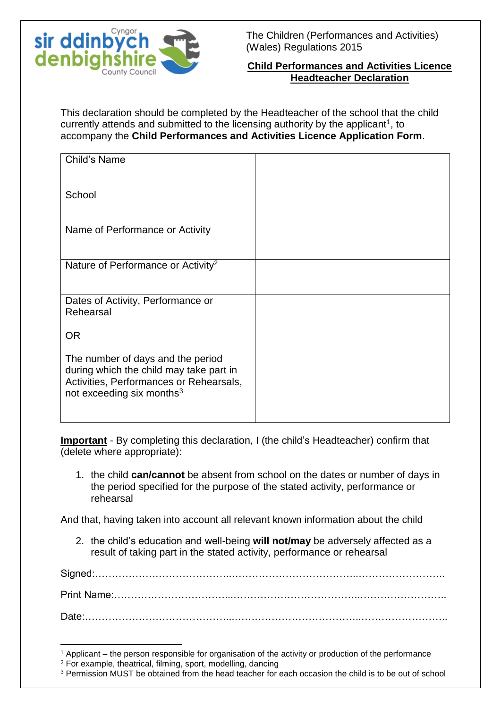

The Children (Performances and Activities) (Wales) Regulations 2015

## **Child Performances and Activities Licence Headteacher Declaration**

This declaration should be completed by the Headteacher of the school that the child currently attends and submitted to the licensing authority by the applicant<sup>1</sup>, to accompany the **Child Performances and Activities Licence Application Form**.

| Child's Name                                                                                                                                                     |  |
|------------------------------------------------------------------------------------------------------------------------------------------------------------------|--|
| School                                                                                                                                                           |  |
| Name of Performance or Activity                                                                                                                                  |  |
| Nature of Performance or Activity <sup>2</sup>                                                                                                                   |  |
| Dates of Activity, Performance or<br>Rehearsal                                                                                                                   |  |
| <b>OR</b>                                                                                                                                                        |  |
| The number of days and the period<br>during which the child may take part in<br>Activities, Performances or Rehearsals,<br>not exceeding six months <sup>3</sup> |  |

**Important** - By completing this declaration, I (the child's Headteacher) confirm that (delete where appropriate):

1. the child **can/cannot** be absent from school on the dates or number of days in the period specified for the purpose of the stated activity, performance or rehearsal

And that, having taken into account all relevant known information about the child

2. the child's education and well-being **will not/may** be adversely affected as a result of taking part in the stated activity, performance or rehearsal

Signed:…………………………………..………………………………..…………………….. Print Name:……………………………...………………………………..…………………….. Date:

<sup>1</sup> <sup>1</sup> Applicant – the person responsible for organisation of the activity or production of the performance

<sup>2</sup> For example, theatrical, filming, sport, modelling, dancing

<sup>3</sup> Permission MUST be obtained from the head teacher for each occasion the child is to be out of school